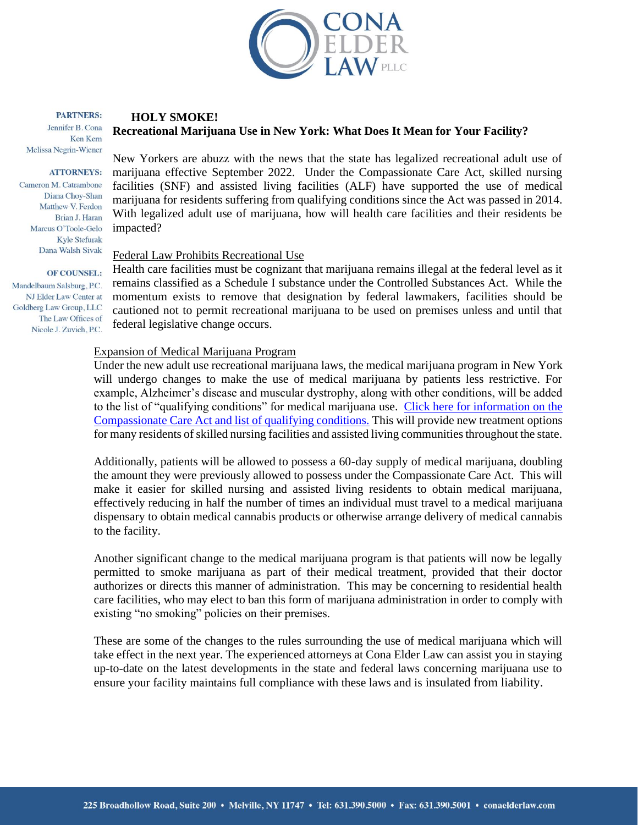

### **PARTNERS: HOLY SMOKE! Recreational Marijuana Use in New York: What Does It Mean for Your Facility?**

New Yorkers are abuzz with the news that the state has legalized recreational adult use of marijuana effective September 2022. Under the Compassionate Care Act, skilled nursing facilities (SNF) and assisted living facilities (ALF) have supported the use of medical marijuana for residents suffering from qualifying conditions since the Act was passed in 2014. With legalized adult use of marijuana, how will health care facilities and their residents be impacted?

## Federal Law Prohibits Recreational Use

Health care facilities must be cognizant that marijuana remains illegal at the federal level as it remains classified as a Schedule I substance under the Controlled Substances Act. While the momentum exists to remove that designation by federal lawmakers, facilities should be cautioned not to permit recreational marijuana to be used on premises unless and until that federal legislative change occurs.

# Expansion of Medical Marijuana Program

Under the new adult use recreational marijuana laws, the medical marijuana program in New York will undergo changes to make the use of medical marijuana by patients less restrictive. For example, Alzheimer's disease and muscular dystrophy, along with other conditions, will be added to the list of "qualifying conditions" for medical marijuana use. [Click here for information on the](https://conaelderlaw.com/medical-marijuana-and-the-elderly-demographic-demand-vs-practical-barriers-to-access/)  [Compassionate Care Act and list of qualifying conditions.](https://conaelderlaw.com/medical-marijuana-and-the-elderly-demographic-demand-vs-practical-barriers-to-access/) This will provide new treatment options for many residents of skilled nursing facilities and assisted living communities throughout the state.

Additionally, patients will be allowed to possess a 60-day supply of medical marijuana, doubling the amount they were previously allowed to possess under the Compassionate Care Act. This will make it easier for skilled nursing and assisted living residents to obtain medical marijuana, effectively reducing in half the number of times an individual must travel to a medical marijuana dispensary to obtain medical cannabis products or otherwise arrange delivery of medical cannabis to the facility.

Another significant change to the medical marijuana program is that patients will now be legally permitted to smoke marijuana as part of their medical treatment, provided that their doctor authorizes or directs this manner of administration. This may be concerning to residential health care facilities, who may elect to ban this form of marijuana administration in order to comply with existing "no smoking" policies on their premises.

These are some of the changes to the rules surrounding the use of medical marijuana which will take effect in the next year. The experienced attorneys at Cona Elder Law can assist you in staying up-to-date on the latest developments in the state and federal laws concerning marijuana use to ensure your facility maintains full compliance with these laws and is insulated from liability.

Jennifer B. Cona Ken Kern Melissa Negrin-Wiener

### **ATTORNEYS:**

Cameron M. Catrambone Diana Choy-Shan Matthew V. Ferdon Brian J. Haran Marcus O'Toole-Gelo **Kyle Stefurak** Dana Walsh Sivak

### **OF COUNSEL:**

Mandelbaum Salsburg, P.C. NJ Elder Law Center at Goldberg Law Group, LLC The Law Offices of Nicole J. Zuvich, P.C.